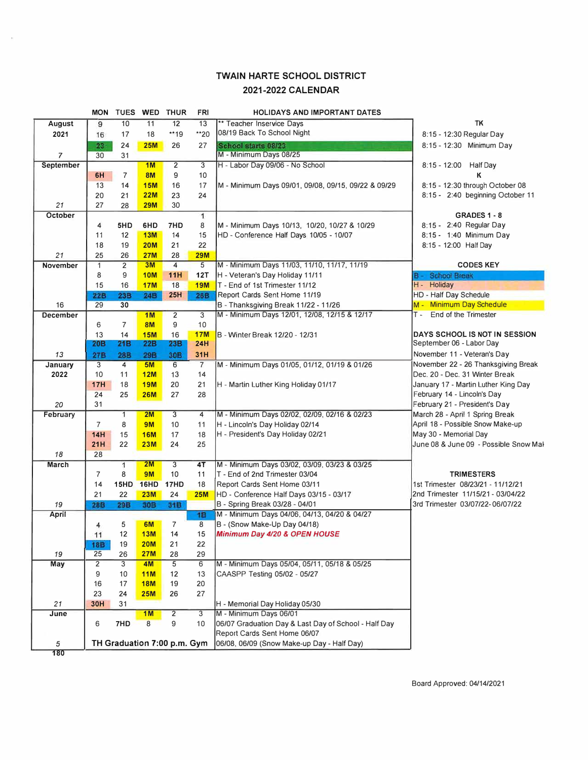## **TWAIN HARTE SCHOOL DISTRICT 2021-2022 CALENDAR**

 $\sim$ 

| 12<br>TK<br>August<br>9<br>10<br>11<br>13<br>** Teacher Inservice Days<br>08/19 Back To School Night<br>**20<br>17<br>18<br>**19<br>8:15 - 12:30 Regular Day<br>2021<br>16<br>24<br>School starts 08/23<br>8:15 - 12:30 Minimum Day<br>23<br><b>25M</b><br>26<br>27<br>M - Minimum Days 08/25<br>$\overline{7}$<br>31<br>30<br>2<br>1M<br>8:15 - 12:00 Half Day<br>September<br>3<br>H - Labor Day 09/06 - No School<br>9<br>$\overline{7}$<br>8M<br>6H<br>10<br>κ<br>13<br>14<br><b>15M</b><br>16<br>17<br>M - Minimum Days 09/01, 09/08, 09/15, 09/22 & 09/29<br>8:15 - 12:30 through October 08<br>21<br>20<br><b>22M</b><br>23<br>24<br>8:15 - 2:40 beginning October 11<br>27<br>21<br>28<br><b>29M</b><br>30<br>October<br>$\mathbf{1}$<br>GRADES 1 - 8<br>8<br>8:15 - 2:40 Regular Day<br>7HD<br>M - Minimum Days 10/13, 10/20, 10/27 & 10/29<br>4<br>5HD<br>6HD<br>8:15 - 1:40 Minimum Day<br>13M<br>11<br>12<br>14<br>15<br>HD - Conference Half Days 10/05 - 10/07<br>22<br>8:15 - 12:00 Half Day<br>18<br>19<br><b>20M</b><br>21<br>25<br>26<br><b>27M</b><br>28<br><b>29M</b><br>21<br>2<br>M - Minimum Days 11/03, 11/10, 11/17, 11/19<br><b>CODES KEY</b><br><b>November</b><br>$\mathbf{1}$<br>3M<br>$\overline{4}$<br>5<br>9<br>11H<br><b>School Break</b><br>8<br><b>10M</b><br>12T<br>H - Veteran's Day Holiday 11/11<br>в-<br>H - Holiday<br>15<br>18<br>T - End of 1st Trimester 11/12<br>16<br><b>17M</b><br><b>19M</b><br>24B<br>25H<br>HD - Half Day Schedule<br><b>22B</b><br>23B<br><b>26B</b><br>Report Cards Sent Home 11/19<br>M - Minimum Day Schedule<br>29<br>30<br>B - Thanksgiving Break 11/22 - 11/26<br>16<br>2<br>3<br>M - Minimum Days 12/01, 12/08, 12/15 & 12/17<br>End of the Trimester<br><b>December</b><br>1 <sub>M</sub><br>т.<br>7<br><b>8M</b><br>9<br>10<br>6<br>14<br>DAYS SCHOOL IS NOT IN SESSION<br>13<br><b>15M</b><br>16<br><b>17M</b><br>B - Winter Break 12/20 - 12/31<br>September 06 - Labor Day<br>20B<br>21 <sub>B</sub><br>22B<br>24H<br>23B<br><b>27B</b><br>30 <sub>B</sub><br>31H<br>November 11 - Veteran's Day<br><b>28B</b><br><b>29B</b><br>13<br>$\overline{7}$<br>M - Minimum Days 01/05, 01/12, 01/19 & 01/26<br>3<br>5M<br>6<br>November 22 - 26 Thanksgiving Break<br>January<br>4<br>14<br>Dec. 20 - Dec. 31 Winter Break<br>2022<br>10<br>11<br>12M<br>13<br>18<br><b>19M</b><br>January 17 - Martin Luther King Day<br><b>17H</b><br>20<br>21<br>H - Martin Luther King Holiday 01/17<br>28<br>February 14 - Lincoln's Day<br>24<br>25<br><b>26M</b><br>27<br>February 21 - President's Day<br>20<br>31<br>M - Minimum Days 02/02, 02/09, 02/16 & 02/23<br>$\mathbf{1}$<br>2M<br>3<br>March 28 - April 1 Spring Break<br>February<br>4<br>April 18 - Possible Snow Make-up<br>8<br>$\overline{7}$<br><b>9M</b><br>10<br>H - Lincoln's Day Holiday 02/14<br>11<br>H - President's Day Holiday 02/21<br>May 30 - Memorial Day<br>14H<br>15<br>17<br>18<br><b>16M</b><br>June 08 & June 09 - Possible Snow Mal<br>25<br>21H<br>22<br><b>23M</b><br>24<br>18<br>28<br>$\mathbf{1}$<br>M - Minimum Days 03/02, 03/09, 03/23 & 03/25<br>2M<br>3<br>4T<br>March<br>T - End of 2nd Trimester 03/04<br><b>TRIMESTERS</b><br>$\overline{7}$<br>8<br><b>9M</b><br>10<br>11<br>14<br>15HD<br><b>16HD</b><br><b>17HD</b><br>18<br>Report Cards Sent Home 03/11<br>1st Trimester 08/23/21 - 11/12/21<br>2nd Trimester 11/15/21 - 03/04/22<br>21<br>22<br><b>23M</b><br>24<br>HD - Conference Half Days 03/15 - 03/17<br><b>25M</b><br>3rd Trimester 03/07/22-06/07/22<br><b>28B</b><br>29B<br>30B<br>B - Spring Break 03/28 - 04/01<br>19<br>31B<br>1B<br>M - Minimum Days 04/06, 04/13, 04/20 & 04/27<br>April<br>5<br>$\overline{7}$<br>B - (Snow Make-Up Day 04/18)<br>6M<br>8<br>4<br>Minimum Day 4/20 & OPEN HOUSE<br>11<br>12<br>13M<br>15<br>14<br><b>20M</b><br>18B<br>19<br>21<br>22<br>25<br>26<br><b>27M</b><br>29<br>19<br>28<br>M - Minimum Days 05/04, 05/11, 05/18 & 05/25<br>$\overline{c}$<br>5<br>6<br>May<br>3<br>4M<br>CAASPP Testing 05/02 - 05/27<br>9<br>11M<br>10<br>12<br>13<br>16<br>20<br>17<br><b>18M</b><br>19<br>27<br>23<br>24<br><b>25M</b><br>26<br>21<br><b>30H</b><br>31<br>H - Memorial Day Holiday 05/30<br>3<br>M - Minimum Days 06/01<br>1M<br>2<br>June<br>06/07 Graduation Day & Last Day of School - Half Day<br>7HD<br>8<br>9<br>6<br>10<br>Report Cards Sent Home 06/07<br>TH Graduation 7:00 p.m. Gym<br>06/08, 06/09 (Snow Make-up Day - Half Day)<br>5<br>180 | <b>MON</b> |  | TUES WED THUR | FRI | <b>HOLIDAYS AND IMPORTANT DATES</b> |  |
|---------------------------------------------------------------------------------------------------------------------------------------------------------------------------------------------------------------------------------------------------------------------------------------------------------------------------------------------------------------------------------------------------------------------------------------------------------------------------------------------------------------------------------------------------------------------------------------------------------------------------------------------------------------------------------------------------------------------------------------------------------------------------------------------------------------------------------------------------------------------------------------------------------------------------------------------------------------------------------------------------------------------------------------------------------------------------------------------------------------------------------------------------------------------------------------------------------------------------------------------------------------------------------------------------------------------------------------------------------------------------------------------------------------------------------------------------------------------------------------------------------------------------------------------------------------------------------------------------------------------------------------------------------------------------------------------------------------------------------------------------------------------------------------------------------------------------------------------------------------------------------------------------------------------------------------------------------------------------------------------------------------------------------------------------------------------------------------------------------------------------------------------------------------------------------------------------------------------------------------------------------------------------------------------------------------------------------------------------------------------------------------------------------------------------------------------------------------------------------------------------------------------------------------------------------------------------------------------------------------------------------------------------------------------------------------------------------------------------------------------------------------------------------------------------------------------------------------------------------------------------------------------------------------------------------------------------------------------------------------------------------------------------------------------------------------------------------------------------------------------------------------------------------------------------------------------------------------------------------------------------------------------------------------------------------------------------------------------------------------------------------------------------------------------------------------------------------------------------------------------------------------------------------------------------------------------------------------------------------------------------------------------------------------------------------------------------------------------------------------------------------------------------------------------------------------------------------------------------------------------------------------------------------------------------------------------------------------------------------------------------------------------------------------------------------------------------------------------------------------------------------------------------------------------------------------------------------------------------------------------------------------------------------------------------------------------------------------------------------------------------------------------------------------------------------------------------------------------------|------------|--|---------------|-----|-------------------------------------|--|
|                                                                                                                                                                                                                                                                                                                                                                                                                                                                                                                                                                                                                                                                                                                                                                                                                                                                                                                                                                                                                                                                                                                                                                                                                                                                                                                                                                                                                                                                                                                                                                                                                                                                                                                                                                                                                                                                                                                                                                                                                                                                                                                                                                                                                                                                                                                                                                                                                                                                                                                                                                                                                                                                                                                                                                                                                                                                                                                                                                                                                                                                                                                                                                                                                                                                                                                                                                                                                                                                                                                                                                                                                                                                                                                                                                                                                                                                                                                                                                                                                                                                                                                                                                                                                                                                                                                                                                                                                                                                           |            |  |               |     |                                     |  |
|                                                                                                                                                                                                                                                                                                                                                                                                                                                                                                                                                                                                                                                                                                                                                                                                                                                                                                                                                                                                                                                                                                                                                                                                                                                                                                                                                                                                                                                                                                                                                                                                                                                                                                                                                                                                                                                                                                                                                                                                                                                                                                                                                                                                                                                                                                                                                                                                                                                                                                                                                                                                                                                                                                                                                                                                                                                                                                                                                                                                                                                                                                                                                                                                                                                                                                                                                                                                                                                                                                                                                                                                                                                                                                                                                                                                                                                                                                                                                                                                                                                                                                                                                                                                                                                                                                                                                                                                                                                                           |            |  |               |     |                                     |  |
|                                                                                                                                                                                                                                                                                                                                                                                                                                                                                                                                                                                                                                                                                                                                                                                                                                                                                                                                                                                                                                                                                                                                                                                                                                                                                                                                                                                                                                                                                                                                                                                                                                                                                                                                                                                                                                                                                                                                                                                                                                                                                                                                                                                                                                                                                                                                                                                                                                                                                                                                                                                                                                                                                                                                                                                                                                                                                                                                                                                                                                                                                                                                                                                                                                                                                                                                                                                                                                                                                                                                                                                                                                                                                                                                                                                                                                                                                                                                                                                                                                                                                                                                                                                                                                                                                                                                                                                                                                                                           |            |  |               |     |                                     |  |
|                                                                                                                                                                                                                                                                                                                                                                                                                                                                                                                                                                                                                                                                                                                                                                                                                                                                                                                                                                                                                                                                                                                                                                                                                                                                                                                                                                                                                                                                                                                                                                                                                                                                                                                                                                                                                                                                                                                                                                                                                                                                                                                                                                                                                                                                                                                                                                                                                                                                                                                                                                                                                                                                                                                                                                                                                                                                                                                                                                                                                                                                                                                                                                                                                                                                                                                                                                                                                                                                                                                                                                                                                                                                                                                                                                                                                                                                                                                                                                                                                                                                                                                                                                                                                                                                                                                                                                                                                                                                           |            |  |               |     |                                     |  |
|                                                                                                                                                                                                                                                                                                                                                                                                                                                                                                                                                                                                                                                                                                                                                                                                                                                                                                                                                                                                                                                                                                                                                                                                                                                                                                                                                                                                                                                                                                                                                                                                                                                                                                                                                                                                                                                                                                                                                                                                                                                                                                                                                                                                                                                                                                                                                                                                                                                                                                                                                                                                                                                                                                                                                                                                                                                                                                                                                                                                                                                                                                                                                                                                                                                                                                                                                                                                                                                                                                                                                                                                                                                                                                                                                                                                                                                                                                                                                                                                                                                                                                                                                                                                                                                                                                                                                                                                                                                                           |            |  |               |     |                                     |  |
|                                                                                                                                                                                                                                                                                                                                                                                                                                                                                                                                                                                                                                                                                                                                                                                                                                                                                                                                                                                                                                                                                                                                                                                                                                                                                                                                                                                                                                                                                                                                                                                                                                                                                                                                                                                                                                                                                                                                                                                                                                                                                                                                                                                                                                                                                                                                                                                                                                                                                                                                                                                                                                                                                                                                                                                                                                                                                                                                                                                                                                                                                                                                                                                                                                                                                                                                                                                                                                                                                                                                                                                                                                                                                                                                                                                                                                                                                                                                                                                                                                                                                                                                                                                                                                                                                                                                                                                                                                                                           |            |  |               |     |                                     |  |
|                                                                                                                                                                                                                                                                                                                                                                                                                                                                                                                                                                                                                                                                                                                                                                                                                                                                                                                                                                                                                                                                                                                                                                                                                                                                                                                                                                                                                                                                                                                                                                                                                                                                                                                                                                                                                                                                                                                                                                                                                                                                                                                                                                                                                                                                                                                                                                                                                                                                                                                                                                                                                                                                                                                                                                                                                                                                                                                                                                                                                                                                                                                                                                                                                                                                                                                                                                                                                                                                                                                                                                                                                                                                                                                                                                                                                                                                                                                                                                                                                                                                                                                                                                                                                                                                                                                                                                                                                                                                           |            |  |               |     |                                     |  |
|                                                                                                                                                                                                                                                                                                                                                                                                                                                                                                                                                                                                                                                                                                                                                                                                                                                                                                                                                                                                                                                                                                                                                                                                                                                                                                                                                                                                                                                                                                                                                                                                                                                                                                                                                                                                                                                                                                                                                                                                                                                                                                                                                                                                                                                                                                                                                                                                                                                                                                                                                                                                                                                                                                                                                                                                                                                                                                                                                                                                                                                                                                                                                                                                                                                                                                                                                                                                                                                                                                                                                                                                                                                                                                                                                                                                                                                                                                                                                                                                                                                                                                                                                                                                                                                                                                                                                                                                                                                                           |            |  |               |     |                                     |  |
|                                                                                                                                                                                                                                                                                                                                                                                                                                                                                                                                                                                                                                                                                                                                                                                                                                                                                                                                                                                                                                                                                                                                                                                                                                                                                                                                                                                                                                                                                                                                                                                                                                                                                                                                                                                                                                                                                                                                                                                                                                                                                                                                                                                                                                                                                                                                                                                                                                                                                                                                                                                                                                                                                                                                                                                                                                                                                                                                                                                                                                                                                                                                                                                                                                                                                                                                                                                                                                                                                                                                                                                                                                                                                                                                                                                                                                                                                                                                                                                                                                                                                                                                                                                                                                                                                                                                                                                                                                                                           |            |  |               |     |                                     |  |
|                                                                                                                                                                                                                                                                                                                                                                                                                                                                                                                                                                                                                                                                                                                                                                                                                                                                                                                                                                                                                                                                                                                                                                                                                                                                                                                                                                                                                                                                                                                                                                                                                                                                                                                                                                                                                                                                                                                                                                                                                                                                                                                                                                                                                                                                                                                                                                                                                                                                                                                                                                                                                                                                                                                                                                                                                                                                                                                                                                                                                                                                                                                                                                                                                                                                                                                                                                                                                                                                                                                                                                                                                                                                                                                                                                                                                                                                                                                                                                                                                                                                                                                                                                                                                                                                                                                                                                                                                                                                           |            |  |               |     |                                     |  |
|                                                                                                                                                                                                                                                                                                                                                                                                                                                                                                                                                                                                                                                                                                                                                                                                                                                                                                                                                                                                                                                                                                                                                                                                                                                                                                                                                                                                                                                                                                                                                                                                                                                                                                                                                                                                                                                                                                                                                                                                                                                                                                                                                                                                                                                                                                                                                                                                                                                                                                                                                                                                                                                                                                                                                                                                                                                                                                                                                                                                                                                                                                                                                                                                                                                                                                                                                                                                                                                                                                                                                                                                                                                                                                                                                                                                                                                                                                                                                                                                                                                                                                                                                                                                                                                                                                                                                                                                                                                                           |            |  |               |     |                                     |  |
|                                                                                                                                                                                                                                                                                                                                                                                                                                                                                                                                                                                                                                                                                                                                                                                                                                                                                                                                                                                                                                                                                                                                                                                                                                                                                                                                                                                                                                                                                                                                                                                                                                                                                                                                                                                                                                                                                                                                                                                                                                                                                                                                                                                                                                                                                                                                                                                                                                                                                                                                                                                                                                                                                                                                                                                                                                                                                                                                                                                                                                                                                                                                                                                                                                                                                                                                                                                                                                                                                                                                                                                                                                                                                                                                                                                                                                                                                                                                                                                                                                                                                                                                                                                                                                                                                                                                                                                                                                                                           |            |  |               |     |                                     |  |
|                                                                                                                                                                                                                                                                                                                                                                                                                                                                                                                                                                                                                                                                                                                                                                                                                                                                                                                                                                                                                                                                                                                                                                                                                                                                                                                                                                                                                                                                                                                                                                                                                                                                                                                                                                                                                                                                                                                                                                                                                                                                                                                                                                                                                                                                                                                                                                                                                                                                                                                                                                                                                                                                                                                                                                                                                                                                                                                                                                                                                                                                                                                                                                                                                                                                                                                                                                                                                                                                                                                                                                                                                                                                                                                                                                                                                                                                                                                                                                                                                                                                                                                                                                                                                                                                                                                                                                                                                                                                           |            |  |               |     |                                     |  |
|                                                                                                                                                                                                                                                                                                                                                                                                                                                                                                                                                                                                                                                                                                                                                                                                                                                                                                                                                                                                                                                                                                                                                                                                                                                                                                                                                                                                                                                                                                                                                                                                                                                                                                                                                                                                                                                                                                                                                                                                                                                                                                                                                                                                                                                                                                                                                                                                                                                                                                                                                                                                                                                                                                                                                                                                                                                                                                                                                                                                                                                                                                                                                                                                                                                                                                                                                                                                                                                                                                                                                                                                                                                                                                                                                                                                                                                                                                                                                                                                                                                                                                                                                                                                                                                                                                                                                                                                                                                                           |            |  |               |     |                                     |  |
|                                                                                                                                                                                                                                                                                                                                                                                                                                                                                                                                                                                                                                                                                                                                                                                                                                                                                                                                                                                                                                                                                                                                                                                                                                                                                                                                                                                                                                                                                                                                                                                                                                                                                                                                                                                                                                                                                                                                                                                                                                                                                                                                                                                                                                                                                                                                                                                                                                                                                                                                                                                                                                                                                                                                                                                                                                                                                                                                                                                                                                                                                                                                                                                                                                                                                                                                                                                                                                                                                                                                                                                                                                                                                                                                                                                                                                                                                                                                                                                                                                                                                                                                                                                                                                                                                                                                                                                                                                                                           |            |  |               |     |                                     |  |
|                                                                                                                                                                                                                                                                                                                                                                                                                                                                                                                                                                                                                                                                                                                                                                                                                                                                                                                                                                                                                                                                                                                                                                                                                                                                                                                                                                                                                                                                                                                                                                                                                                                                                                                                                                                                                                                                                                                                                                                                                                                                                                                                                                                                                                                                                                                                                                                                                                                                                                                                                                                                                                                                                                                                                                                                                                                                                                                                                                                                                                                                                                                                                                                                                                                                                                                                                                                                                                                                                                                                                                                                                                                                                                                                                                                                                                                                                                                                                                                                                                                                                                                                                                                                                                                                                                                                                                                                                                                                           |            |  |               |     |                                     |  |
|                                                                                                                                                                                                                                                                                                                                                                                                                                                                                                                                                                                                                                                                                                                                                                                                                                                                                                                                                                                                                                                                                                                                                                                                                                                                                                                                                                                                                                                                                                                                                                                                                                                                                                                                                                                                                                                                                                                                                                                                                                                                                                                                                                                                                                                                                                                                                                                                                                                                                                                                                                                                                                                                                                                                                                                                                                                                                                                                                                                                                                                                                                                                                                                                                                                                                                                                                                                                                                                                                                                                                                                                                                                                                                                                                                                                                                                                                                                                                                                                                                                                                                                                                                                                                                                                                                                                                                                                                                                                           |            |  |               |     |                                     |  |
|                                                                                                                                                                                                                                                                                                                                                                                                                                                                                                                                                                                                                                                                                                                                                                                                                                                                                                                                                                                                                                                                                                                                                                                                                                                                                                                                                                                                                                                                                                                                                                                                                                                                                                                                                                                                                                                                                                                                                                                                                                                                                                                                                                                                                                                                                                                                                                                                                                                                                                                                                                                                                                                                                                                                                                                                                                                                                                                                                                                                                                                                                                                                                                                                                                                                                                                                                                                                                                                                                                                                                                                                                                                                                                                                                                                                                                                                                                                                                                                                                                                                                                                                                                                                                                                                                                                                                                                                                                                                           |            |  |               |     |                                     |  |
|                                                                                                                                                                                                                                                                                                                                                                                                                                                                                                                                                                                                                                                                                                                                                                                                                                                                                                                                                                                                                                                                                                                                                                                                                                                                                                                                                                                                                                                                                                                                                                                                                                                                                                                                                                                                                                                                                                                                                                                                                                                                                                                                                                                                                                                                                                                                                                                                                                                                                                                                                                                                                                                                                                                                                                                                                                                                                                                                                                                                                                                                                                                                                                                                                                                                                                                                                                                                                                                                                                                                                                                                                                                                                                                                                                                                                                                                                                                                                                                                                                                                                                                                                                                                                                                                                                                                                                                                                                                                           |            |  |               |     |                                     |  |
|                                                                                                                                                                                                                                                                                                                                                                                                                                                                                                                                                                                                                                                                                                                                                                                                                                                                                                                                                                                                                                                                                                                                                                                                                                                                                                                                                                                                                                                                                                                                                                                                                                                                                                                                                                                                                                                                                                                                                                                                                                                                                                                                                                                                                                                                                                                                                                                                                                                                                                                                                                                                                                                                                                                                                                                                                                                                                                                                                                                                                                                                                                                                                                                                                                                                                                                                                                                                                                                                                                                                                                                                                                                                                                                                                                                                                                                                                                                                                                                                                                                                                                                                                                                                                                                                                                                                                                                                                                                                           |            |  |               |     |                                     |  |
|                                                                                                                                                                                                                                                                                                                                                                                                                                                                                                                                                                                                                                                                                                                                                                                                                                                                                                                                                                                                                                                                                                                                                                                                                                                                                                                                                                                                                                                                                                                                                                                                                                                                                                                                                                                                                                                                                                                                                                                                                                                                                                                                                                                                                                                                                                                                                                                                                                                                                                                                                                                                                                                                                                                                                                                                                                                                                                                                                                                                                                                                                                                                                                                                                                                                                                                                                                                                                                                                                                                                                                                                                                                                                                                                                                                                                                                                                                                                                                                                                                                                                                                                                                                                                                                                                                                                                                                                                                                                           |            |  |               |     |                                     |  |
|                                                                                                                                                                                                                                                                                                                                                                                                                                                                                                                                                                                                                                                                                                                                                                                                                                                                                                                                                                                                                                                                                                                                                                                                                                                                                                                                                                                                                                                                                                                                                                                                                                                                                                                                                                                                                                                                                                                                                                                                                                                                                                                                                                                                                                                                                                                                                                                                                                                                                                                                                                                                                                                                                                                                                                                                                                                                                                                                                                                                                                                                                                                                                                                                                                                                                                                                                                                                                                                                                                                                                                                                                                                                                                                                                                                                                                                                                                                                                                                                                                                                                                                                                                                                                                                                                                                                                                                                                                                                           |            |  |               |     |                                     |  |
|                                                                                                                                                                                                                                                                                                                                                                                                                                                                                                                                                                                                                                                                                                                                                                                                                                                                                                                                                                                                                                                                                                                                                                                                                                                                                                                                                                                                                                                                                                                                                                                                                                                                                                                                                                                                                                                                                                                                                                                                                                                                                                                                                                                                                                                                                                                                                                                                                                                                                                                                                                                                                                                                                                                                                                                                                                                                                                                                                                                                                                                                                                                                                                                                                                                                                                                                                                                                                                                                                                                                                                                                                                                                                                                                                                                                                                                                                                                                                                                                                                                                                                                                                                                                                                                                                                                                                                                                                                                                           |            |  |               |     |                                     |  |
|                                                                                                                                                                                                                                                                                                                                                                                                                                                                                                                                                                                                                                                                                                                                                                                                                                                                                                                                                                                                                                                                                                                                                                                                                                                                                                                                                                                                                                                                                                                                                                                                                                                                                                                                                                                                                                                                                                                                                                                                                                                                                                                                                                                                                                                                                                                                                                                                                                                                                                                                                                                                                                                                                                                                                                                                                                                                                                                                                                                                                                                                                                                                                                                                                                                                                                                                                                                                                                                                                                                                                                                                                                                                                                                                                                                                                                                                                                                                                                                                                                                                                                                                                                                                                                                                                                                                                                                                                                                                           |            |  |               |     |                                     |  |
|                                                                                                                                                                                                                                                                                                                                                                                                                                                                                                                                                                                                                                                                                                                                                                                                                                                                                                                                                                                                                                                                                                                                                                                                                                                                                                                                                                                                                                                                                                                                                                                                                                                                                                                                                                                                                                                                                                                                                                                                                                                                                                                                                                                                                                                                                                                                                                                                                                                                                                                                                                                                                                                                                                                                                                                                                                                                                                                                                                                                                                                                                                                                                                                                                                                                                                                                                                                                                                                                                                                                                                                                                                                                                                                                                                                                                                                                                                                                                                                                                                                                                                                                                                                                                                                                                                                                                                                                                                                                           |            |  |               |     |                                     |  |
|                                                                                                                                                                                                                                                                                                                                                                                                                                                                                                                                                                                                                                                                                                                                                                                                                                                                                                                                                                                                                                                                                                                                                                                                                                                                                                                                                                                                                                                                                                                                                                                                                                                                                                                                                                                                                                                                                                                                                                                                                                                                                                                                                                                                                                                                                                                                                                                                                                                                                                                                                                                                                                                                                                                                                                                                                                                                                                                                                                                                                                                                                                                                                                                                                                                                                                                                                                                                                                                                                                                                                                                                                                                                                                                                                                                                                                                                                                                                                                                                                                                                                                                                                                                                                                                                                                                                                                                                                                                                           |            |  |               |     |                                     |  |
|                                                                                                                                                                                                                                                                                                                                                                                                                                                                                                                                                                                                                                                                                                                                                                                                                                                                                                                                                                                                                                                                                                                                                                                                                                                                                                                                                                                                                                                                                                                                                                                                                                                                                                                                                                                                                                                                                                                                                                                                                                                                                                                                                                                                                                                                                                                                                                                                                                                                                                                                                                                                                                                                                                                                                                                                                                                                                                                                                                                                                                                                                                                                                                                                                                                                                                                                                                                                                                                                                                                                                                                                                                                                                                                                                                                                                                                                                                                                                                                                                                                                                                                                                                                                                                                                                                                                                                                                                                                                           |            |  |               |     |                                     |  |
|                                                                                                                                                                                                                                                                                                                                                                                                                                                                                                                                                                                                                                                                                                                                                                                                                                                                                                                                                                                                                                                                                                                                                                                                                                                                                                                                                                                                                                                                                                                                                                                                                                                                                                                                                                                                                                                                                                                                                                                                                                                                                                                                                                                                                                                                                                                                                                                                                                                                                                                                                                                                                                                                                                                                                                                                                                                                                                                                                                                                                                                                                                                                                                                                                                                                                                                                                                                                                                                                                                                                                                                                                                                                                                                                                                                                                                                                                                                                                                                                                                                                                                                                                                                                                                                                                                                                                                                                                                                                           |            |  |               |     |                                     |  |
|                                                                                                                                                                                                                                                                                                                                                                                                                                                                                                                                                                                                                                                                                                                                                                                                                                                                                                                                                                                                                                                                                                                                                                                                                                                                                                                                                                                                                                                                                                                                                                                                                                                                                                                                                                                                                                                                                                                                                                                                                                                                                                                                                                                                                                                                                                                                                                                                                                                                                                                                                                                                                                                                                                                                                                                                                                                                                                                                                                                                                                                                                                                                                                                                                                                                                                                                                                                                                                                                                                                                                                                                                                                                                                                                                                                                                                                                                                                                                                                                                                                                                                                                                                                                                                                                                                                                                                                                                                                                           |            |  |               |     |                                     |  |
|                                                                                                                                                                                                                                                                                                                                                                                                                                                                                                                                                                                                                                                                                                                                                                                                                                                                                                                                                                                                                                                                                                                                                                                                                                                                                                                                                                                                                                                                                                                                                                                                                                                                                                                                                                                                                                                                                                                                                                                                                                                                                                                                                                                                                                                                                                                                                                                                                                                                                                                                                                                                                                                                                                                                                                                                                                                                                                                                                                                                                                                                                                                                                                                                                                                                                                                                                                                                                                                                                                                                                                                                                                                                                                                                                                                                                                                                                                                                                                                                                                                                                                                                                                                                                                                                                                                                                                                                                                                                           |            |  |               |     |                                     |  |
|                                                                                                                                                                                                                                                                                                                                                                                                                                                                                                                                                                                                                                                                                                                                                                                                                                                                                                                                                                                                                                                                                                                                                                                                                                                                                                                                                                                                                                                                                                                                                                                                                                                                                                                                                                                                                                                                                                                                                                                                                                                                                                                                                                                                                                                                                                                                                                                                                                                                                                                                                                                                                                                                                                                                                                                                                                                                                                                                                                                                                                                                                                                                                                                                                                                                                                                                                                                                                                                                                                                                                                                                                                                                                                                                                                                                                                                                                                                                                                                                                                                                                                                                                                                                                                                                                                                                                                                                                                                                           |            |  |               |     |                                     |  |
|                                                                                                                                                                                                                                                                                                                                                                                                                                                                                                                                                                                                                                                                                                                                                                                                                                                                                                                                                                                                                                                                                                                                                                                                                                                                                                                                                                                                                                                                                                                                                                                                                                                                                                                                                                                                                                                                                                                                                                                                                                                                                                                                                                                                                                                                                                                                                                                                                                                                                                                                                                                                                                                                                                                                                                                                                                                                                                                                                                                                                                                                                                                                                                                                                                                                                                                                                                                                                                                                                                                                                                                                                                                                                                                                                                                                                                                                                                                                                                                                                                                                                                                                                                                                                                                                                                                                                                                                                                                                           |            |  |               |     |                                     |  |
|                                                                                                                                                                                                                                                                                                                                                                                                                                                                                                                                                                                                                                                                                                                                                                                                                                                                                                                                                                                                                                                                                                                                                                                                                                                                                                                                                                                                                                                                                                                                                                                                                                                                                                                                                                                                                                                                                                                                                                                                                                                                                                                                                                                                                                                                                                                                                                                                                                                                                                                                                                                                                                                                                                                                                                                                                                                                                                                                                                                                                                                                                                                                                                                                                                                                                                                                                                                                                                                                                                                                                                                                                                                                                                                                                                                                                                                                                                                                                                                                                                                                                                                                                                                                                                                                                                                                                                                                                                                                           |            |  |               |     |                                     |  |
|                                                                                                                                                                                                                                                                                                                                                                                                                                                                                                                                                                                                                                                                                                                                                                                                                                                                                                                                                                                                                                                                                                                                                                                                                                                                                                                                                                                                                                                                                                                                                                                                                                                                                                                                                                                                                                                                                                                                                                                                                                                                                                                                                                                                                                                                                                                                                                                                                                                                                                                                                                                                                                                                                                                                                                                                                                                                                                                                                                                                                                                                                                                                                                                                                                                                                                                                                                                                                                                                                                                                                                                                                                                                                                                                                                                                                                                                                                                                                                                                                                                                                                                                                                                                                                                                                                                                                                                                                                                                           |            |  |               |     |                                     |  |
|                                                                                                                                                                                                                                                                                                                                                                                                                                                                                                                                                                                                                                                                                                                                                                                                                                                                                                                                                                                                                                                                                                                                                                                                                                                                                                                                                                                                                                                                                                                                                                                                                                                                                                                                                                                                                                                                                                                                                                                                                                                                                                                                                                                                                                                                                                                                                                                                                                                                                                                                                                                                                                                                                                                                                                                                                                                                                                                                                                                                                                                                                                                                                                                                                                                                                                                                                                                                                                                                                                                                                                                                                                                                                                                                                                                                                                                                                                                                                                                                                                                                                                                                                                                                                                                                                                                                                                                                                                                                           |            |  |               |     |                                     |  |
|                                                                                                                                                                                                                                                                                                                                                                                                                                                                                                                                                                                                                                                                                                                                                                                                                                                                                                                                                                                                                                                                                                                                                                                                                                                                                                                                                                                                                                                                                                                                                                                                                                                                                                                                                                                                                                                                                                                                                                                                                                                                                                                                                                                                                                                                                                                                                                                                                                                                                                                                                                                                                                                                                                                                                                                                                                                                                                                                                                                                                                                                                                                                                                                                                                                                                                                                                                                                                                                                                                                                                                                                                                                                                                                                                                                                                                                                                                                                                                                                                                                                                                                                                                                                                                                                                                                                                                                                                                                                           |            |  |               |     |                                     |  |
|                                                                                                                                                                                                                                                                                                                                                                                                                                                                                                                                                                                                                                                                                                                                                                                                                                                                                                                                                                                                                                                                                                                                                                                                                                                                                                                                                                                                                                                                                                                                                                                                                                                                                                                                                                                                                                                                                                                                                                                                                                                                                                                                                                                                                                                                                                                                                                                                                                                                                                                                                                                                                                                                                                                                                                                                                                                                                                                                                                                                                                                                                                                                                                                                                                                                                                                                                                                                                                                                                                                                                                                                                                                                                                                                                                                                                                                                                                                                                                                                                                                                                                                                                                                                                                                                                                                                                                                                                                                                           |            |  |               |     |                                     |  |
|                                                                                                                                                                                                                                                                                                                                                                                                                                                                                                                                                                                                                                                                                                                                                                                                                                                                                                                                                                                                                                                                                                                                                                                                                                                                                                                                                                                                                                                                                                                                                                                                                                                                                                                                                                                                                                                                                                                                                                                                                                                                                                                                                                                                                                                                                                                                                                                                                                                                                                                                                                                                                                                                                                                                                                                                                                                                                                                                                                                                                                                                                                                                                                                                                                                                                                                                                                                                                                                                                                                                                                                                                                                                                                                                                                                                                                                                                                                                                                                                                                                                                                                                                                                                                                                                                                                                                                                                                                                                           |            |  |               |     |                                     |  |
|                                                                                                                                                                                                                                                                                                                                                                                                                                                                                                                                                                                                                                                                                                                                                                                                                                                                                                                                                                                                                                                                                                                                                                                                                                                                                                                                                                                                                                                                                                                                                                                                                                                                                                                                                                                                                                                                                                                                                                                                                                                                                                                                                                                                                                                                                                                                                                                                                                                                                                                                                                                                                                                                                                                                                                                                                                                                                                                                                                                                                                                                                                                                                                                                                                                                                                                                                                                                                                                                                                                                                                                                                                                                                                                                                                                                                                                                                                                                                                                                                                                                                                                                                                                                                                                                                                                                                                                                                                                                           |            |  |               |     |                                     |  |
|                                                                                                                                                                                                                                                                                                                                                                                                                                                                                                                                                                                                                                                                                                                                                                                                                                                                                                                                                                                                                                                                                                                                                                                                                                                                                                                                                                                                                                                                                                                                                                                                                                                                                                                                                                                                                                                                                                                                                                                                                                                                                                                                                                                                                                                                                                                                                                                                                                                                                                                                                                                                                                                                                                                                                                                                                                                                                                                                                                                                                                                                                                                                                                                                                                                                                                                                                                                                                                                                                                                                                                                                                                                                                                                                                                                                                                                                                                                                                                                                                                                                                                                                                                                                                                                                                                                                                                                                                                                                           |            |  |               |     |                                     |  |
|                                                                                                                                                                                                                                                                                                                                                                                                                                                                                                                                                                                                                                                                                                                                                                                                                                                                                                                                                                                                                                                                                                                                                                                                                                                                                                                                                                                                                                                                                                                                                                                                                                                                                                                                                                                                                                                                                                                                                                                                                                                                                                                                                                                                                                                                                                                                                                                                                                                                                                                                                                                                                                                                                                                                                                                                                                                                                                                                                                                                                                                                                                                                                                                                                                                                                                                                                                                                                                                                                                                                                                                                                                                                                                                                                                                                                                                                                                                                                                                                                                                                                                                                                                                                                                                                                                                                                                                                                                                                           |            |  |               |     |                                     |  |
|                                                                                                                                                                                                                                                                                                                                                                                                                                                                                                                                                                                                                                                                                                                                                                                                                                                                                                                                                                                                                                                                                                                                                                                                                                                                                                                                                                                                                                                                                                                                                                                                                                                                                                                                                                                                                                                                                                                                                                                                                                                                                                                                                                                                                                                                                                                                                                                                                                                                                                                                                                                                                                                                                                                                                                                                                                                                                                                                                                                                                                                                                                                                                                                                                                                                                                                                                                                                                                                                                                                                                                                                                                                                                                                                                                                                                                                                                                                                                                                                                                                                                                                                                                                                                                                                                                                                                                                                                                                                           |            |  |               |     |                                     |  |
|                                                                                                                                                                                                                                                                                                                                                                                                                                                                                                                                                                                                                                                                                                                                                                                                                                                                                                                                                                                                                                                                                                                                                                                                                                                                                                                                                                                                                                                                                                                                                                                                                                                                                                                                                                                                                                                                                                                                                                                                                                                                                                                                                                                                                                                                                                                                                                                                                                                                                                                                                                                                                                                                                                                                                                                                                                                                                                                                                                                                                                                                                                                                                                                                                                                                                                                                                                                                                                                                                                                                                                                                                                                                                                                                                                                                                                                                                                                                                                                                                                                                                                                                                                                                                                                                                                                                                                                                                                                                           |            |  |               |     |                                     |  |
|                                                                                                                                                                                                                                                                                                                                                                                                                                                                                                                                                                                                                                                                                                                                                                                                                                                                                                                                                                                                                                                                                                                                                                                                                                                                                                                                                                                                                                                                                                                                                                                                                                                                                                                                                                                                                                                                                                                                                                                                                                                                                                                                                                                                                                                                                                                                                                                                                                                                                                                                                                                                                                                                                                                                                                                                                                                                                                                                                                                                                                                                                                                                                                                                                                                                                                                                                                                                                                                                                                                                                                                                                                                                                                                                                                                                                                                                                                                                                                                                                                                                                                                                                                                                                                                                                                                                                                                                                                                                           |            |  |               |     |                                     |  |
|                                                                                                                                                                                                                                                                                                                                                                                                                                                                                                                                                                                                                                                                                                                                                                                                                                                                                                                                                                                                                                                                                                                                                                                                                                                                                                                                                                                                                                                                                                                                                                                                                                                                                                                                                                                                                                                                                                                                                                                                                                                                                                                                                                                                                                                                                                                                                                                                                                                                                                                                                                                                                                                                                                                                                                                                                                                                                                                                                                                                                                                                                                                                                                                                                                                                                                                                                                                                                                                                                                                                                                                                                                                                                                                                                                                                                                                                                                                                                                                                                                                                                                                                                                                                                                                                                                                                                                                                                                                                           |            |  |               |     |                                     |  |
|                                                                                                                                                                                                                                                                                                                                                                                                                                                                                                                                                                                                                                                                                                                                                                                                                                                                                                                                                                                                                                                                                                                                                                                                                                                                                                                                                                                                                                                                                                                                                                                                                                                                                                                                                                                                                                                                                                                                                                                                                                                                                                                                                                                                                                                                                                                                                                                                                                                                                                                                                                                                                                                                                                                                                                                                                                                                                                                                                                                                                                                                                                                                                                                                                                                                                                                                                                                                                                                                                                                                                                                                                                                                                                                                                                                                                                                                                                                                                                                                                                                                                                                                                                                                                                                                                                                                                                                                                                                                           |            |  |               |     |                                     |  |
|                                                                                                                                                                                                                                                                                                                                                                                                                                                                                                                                                                                                                                                                                                                                                                                                                                                                                                                                                                                                                                                                                                                                                                                                                                                                                                                                                                                                                                                                                                                                                                                                                                                                                                                                                                                                                                                                                                                                                                                                                                                                                                                                                                                                                                                                                                                                                                                                                                                                                                                                                                                                                                                                                                                                                                                                                                                                                                                                                                                                                                                                                                                                                                                                                                                                                                                                                                                                                                                                                                                                                                                                                                                                                                                                                                                                                                                                                                                                                                                                                                                                                                                                                                                                                                                                                                                                                                                                                                                                           |            |  |               |     |                                     |  |
|                                                                                                                                                                                                                                                                                                                                                                                                                                                                                                                                                                                                                                                                                                                                                                                                                                                                                                                                                                                                                                                                                                                                                                                                                                                                                                                                                                                                                                                                                                                                                                                                                                                                                                                                                                                                                                                                                                                                                                                                                                                                                                                                                                                                                                                                                                                                                                                                                                                                                                                                                                                                                                                                                                                                                                                                                                                                                                                                                                                                                                                                                                                                                                                                                                                                                                                                                                                                                                                                                                                                                                                                                                                                                                                                                                                                                                                                                                                                                                                                                                                                                                                                                                                                                                                                                                                                                                                                                                                                           |            |  |               |     |                                     |  |
|                                                                                                                                                                                                                                                                                                                                                                                                                                                                                                                                                                                                                                                                                                                                                                                                                                                                                                                                                                                                                                                                                                                                                                                                                                                                                                                                                                                                                                                                                                                                                                                                                                                                                                                                                                                                                                                                                                                                                                                                                                                                                                                                                                                                                                                                                                                                                                                                                                                                                                                                                                                                                                                                                                                                                                                                                                                                                                                                                                                                                                                                                                                                                                                                                                                                                                                                                                                                                                                                                                                                                                                                                                                                                                                                                                                                                                                                                                                                                                                                                                                                                                                                                                                                                                                                                                                                                                                                                                                                           |            |  |               |     |                                     |  |
|                                                                                                                                                                                                                                                                                                                                                                                                                                                                                                                                                                                                                                                                                                                                                                                                                                                                                                                                                                                                                                                                                                                                                                                                                                                                                                                                                                                                                                                                                                                                                                                                                                                                                                                                                                                                                                                                                                                                                                                                                                                                                                                                                                                                                                                                                                                                                                                                                                                                                                                                                                                                                                                                                                                                                                                                                                                                                                                                                                                                                                                                                                                                                                                                                                                                                                                                                                                                                                                                                                                                                                                                                                                                                                                                                                                                                                                                                                                                                                                                                                                                                                                                                                                                                                                                                                                                                                                                                                                                           |            |  |               |     |                                     |  |
|                                                                                                                                                                                                                                                                                                                                                                                                                                                                                                                                                                                                                                                                                                                                                                                                                                                                                                                                                                                                                                                                                                                                                                                                                                                                                                                                                                                                                                                                                                                                                                                                                                                                                                                                                                                                                                                                                                                                                                                                                                                                                                                                                                                                                                                                                                                                                                                                                                                                                                                                                                                                                                                                                                                                                                                                                                                                                                                                                                                                                                                                                                                                                                                                                                                                                                                                                                                                                                                                                                                                                                                                                                                                                                                                                                                                                                                                                                                                                                                                                                                                                                                                                                                                                                                                                                                                                                                                                                                                           |            |  |               |     |                                     |  |